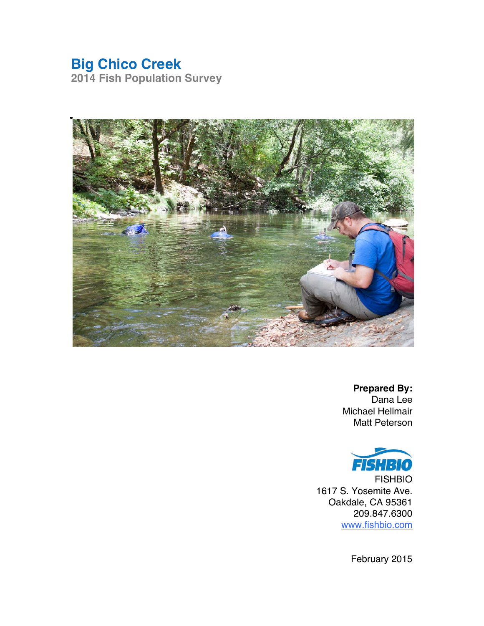# **Big Chico Creek**

**2014 Fish Population Survey**



**Prepared By:**  Dana Lee Michael Hellmair Matt Peterson



FISHBIO 1617 S. Yosemite Ave. Oakdale, CA 95361 209.847.6300 www.fishbio.com

February 2015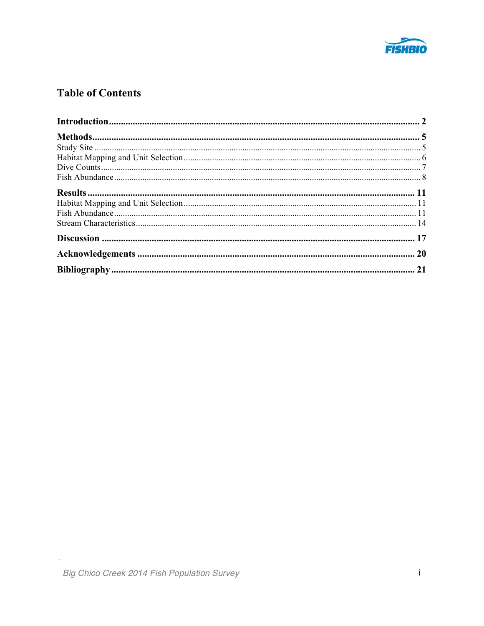

# **Table of Contents**

 $\sim$ 

 $\overline{\phantom{a}}$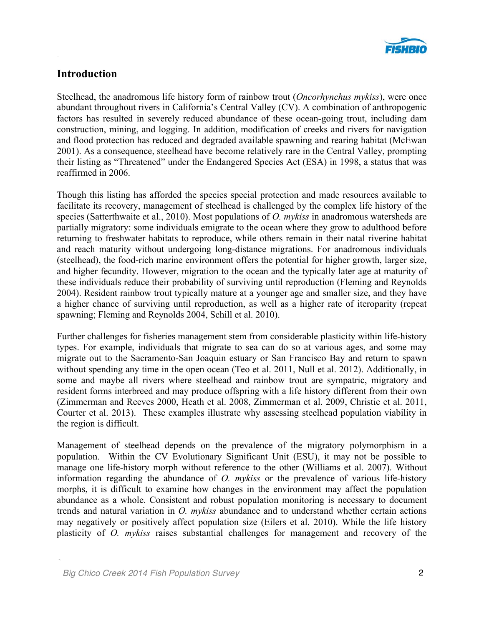

# **Introduction**

Steelhead, the anadromous life history form of rainbow trout (*Oncorhynchus mykiss*), were once abundant throughout rivers in California's Central Valley (CV). A combination of anthropogenic factors has resulted in severely reduced abundance of these ocean-going trout, including dam construction, mining, and logging. In addition, modification of creeks and rivers for navigation and flood protection has reduced and degraded available spawning and rearing habitat (McEwan 2001). As a consequence, steelhead have become relatively rare in the Central Valley, prompting their listing as "Threatened" under the Endangered Species Act (ESA) in 1998, a status that was reaffirmed in 2006.

Though this listing has afforded the species special protection and made resources available to facilitate its recovery, management of steelhead is challenged by the complex life history of the species (Satterthwaite et al., 2010). Most populations of *O. mykiss* in anadromous watersheds are partially migratory: some individuals emigrate to the ocean where they grow to adulthood before returning to freshwater habitats to reproduce, while others remain in their natal riverine habitat and reach maturity without undergoing long-distance migrations. For anadromous individuals (steelhead), the food-rich marine environment offers the potential for higher growth, larger size, and higher fecundity. However, migration to the ocean and the typically later age at maturity of these individuals reduce their probability of surviving until reproduction (Fleming and Reynolds 2004). Resident rainbow trout typically mature at a younger age and smaller size, and they have a higher chance of surviving until reproduction, as well as a higher rate of iteroparity (repeat spawning; Fleming and Reynolds 2004, Schill et al. 2010).

Further challenges for fisheries management stem from considerable plasticity within life-history types. For example, individuals that migrate to sea can do so at various ages, and some may migrate out to the Sacramento-San Joaquin estuary or San Francisco Bay and return to spawn without spending any time in the open ocean (Teo et al. 2011, Null et al. 2012). Additionally, in some and maybe all rivers where steelhead and rainbow trout are sympatric, migratory and resident forms interbreed and may produce offspring with a life history different from their own (Zimmerman and Reeves 2000, Heath et al. 2008, Zimmerman et al. 2009, Christie et al. 2011, Courter et al. 2013). These examples illustrate why assessing steelhead population viability in the region is difficult.

Management of steelhead depends on the prevalence of the migratory polymorphism in a population. Within the CV Evolutionary Significant Unit (ESU), it may not be possible to manage one life-history morph without reference to the other (Williams et al. 2007). Without information regarding the abundance of *O. mykiss* or the prevalence of various life-history morphs, it is difficult to examine how changes in the environment may affect the population abundance as a whole. Consistent and robust population monitoring is necessary to document trends and natural variation in *O. mykiss* abundance and to understand whether certain actions may negatively or positively affect population size (Eilers et al. 2010). While the life history plasticity of *O. mykiss* raises substantial challenges for management and recovery of the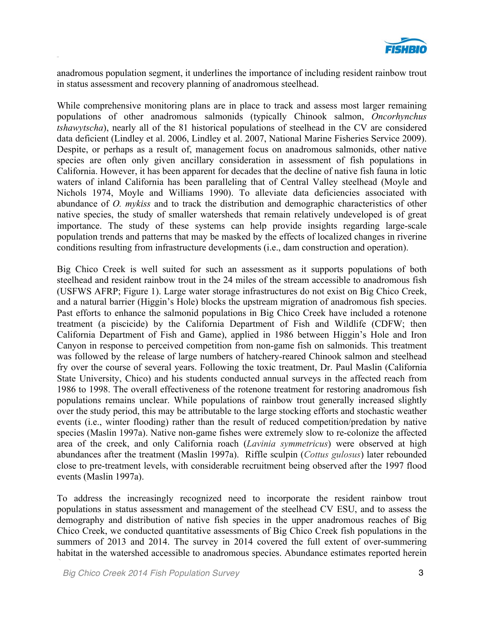

anadromous population segment, it underlines the importance of including resident rainbow trout in status assessment and recovery planning of anadromous steelhead.

While comprehensive monitoring plans are in place to track and assess most larger remaining populations of other anadromous salmonids (typically Chinook salmon, *Oncorhynchus tshawytscha*), nearly all of the 81 historical populations of steelhead in the CV are considered data deficient (Lindley et al. 2006, Lindley et al. 2007, National Marine Fisheries Service 2009). Despite, or perhaps as a result of, management focus on anadromous salmonids, other native species are often only given ancillary consideration in assessment of fish populations in California. However, it has been apparent for decades that the decline of native fish fauna in lotic waters of inland California has been paralleling that of Central Valley steelhead (Moyle and Nichols 1974, Moyle and Williams 1990). To alleviate data deficiencies associated with abundance of *O. mykiss* and to track the distribution and demographic characteristics of other native species, the study of smaller watersheds that remain relatively undeveloped is of great importance. The study of these systems can help provide insights regarding large-scale population trends and patterns that may be masked by the effects of localized changes in riverine conditions resulting from infrastructure developments (i.e., dam construction and operation).

Big Chico Creek is well suited for such an assessment as it supports populations of both steelhead and resident rainbow trout in the 24 miles of the stream accessible to anadromous fish (USFWS AFRP; Figure 1). Large water storage infrastructures do not exist on Big Chico Creek, and a natural barrier (Higgin's Hole) blocks the upstream migration of anadromous fish species. Past efforts to enhance the salmonid populations in Big Chico Creek have included a rotenone treatment (a piscicide) by the California Department of Fish and Wildlife (CDFW; then California Department of Fish and Game), applied in 1986 between Higgin's Hole and Iron Canyon in response to perceived competition from non-game fish on salmonids. This treatment was followed by the release of large numbers of hatchery-reared Chinook salmon and steelhead fry over the course of several years. Following the toxic treatment, Dr. Paul Maslin (California State University, Chico) and his students conducted annual surveys in the affected reach from 1986 to 1998. The overall effectiveness of the rotenone treatment for restoring anadromous fish populations remains unclear. While populations of rainbow trout generally increased slightly over the study period, this may be attributable to the large stocking efforts and stochastic weather events (i.e., winter flooding) rather than the result of reduced competition/predation by native species (Maslin 1997a). Native non-game fishes were extremely slow to re-colonize the affected area of the creek, and only California roach (*Lavinia symmetricus*) were observed at high abundances after the treatment (Maslin 1997a). Riffle sculpin (*Cottus gulosus*) later rebounded close to pre-treatment levels, with considerable recruitment being observed after the 1997 flood events (Maslin 1997a).

To address the increasingly recognized need to incorporate the resident rainbow trout populations in status assessment and management of the steelhead CV ESU, and to assess the demography and distribution of native fish species in the upper anadromous reaches of Big Chico Creek, we conducted quantitative assessments of Big Chico Creek fish populations in the summers of 2013 and 2014. The survey in 2014 covered the full extent of over-summering habitat in the watershed accessible to anadromous species. Abundance estimates reported herein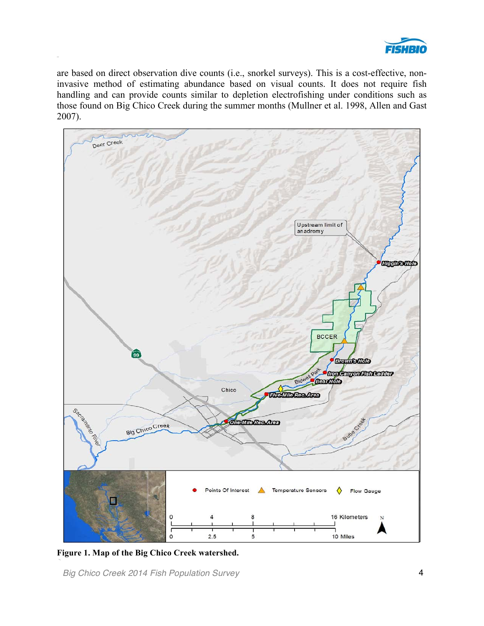

are based on direct observation dive counts (i.e., snorkel surveys). This is a cost-effective, noninvasive method of estimating abundance based on visual counts. It does not require fish handling and can provide counts similar to depletion electrofishing under conditions such as those found on Big Chico Creek during the summer months (Mullner et al. 1998, Allen and Gast 2007).



**Figure 1. Map of the Big Chico Creek watershed.**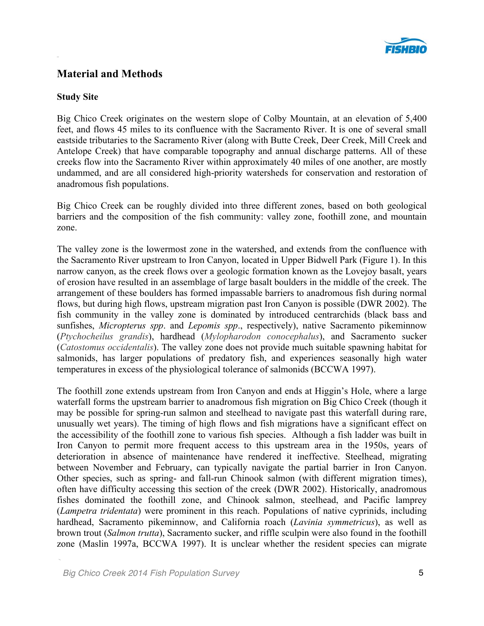

# **Material and Methods**

#### **Study Site**

Big Chico Creek originates on the western slope of Colby Mountain, at an elevation of 5,400 feet, and flows 45 miles to its confluence with the Sacramento River. It is one of several small eastside tributaries to the Sacramento River (along with Butte Creek, Deer Creek, Mill Creek and Antelope Creek) that have comparable topography and annual discharge patterns. All of these creeks flow into the Sacramento River within approximately 40 miles of one another, are mostly undammed, and are all considered high-priority watersheds for conservation and restoration of anadromous fish populations.

Big Chico Creek can be roughly divided into three different zones, based on both geological barriers and the composition of the fish community: valley zone, foothill zone, and mountain zone.

The valley zone is the lowermost zone in the watershed, and extends from the confluence with the Sacramento River upstream to Iron Canyon, located in Upper Bidwell Park (Figure 1). In this narrow canyon, as the creek flows over a geologic formation known as the Lovejoy basalt, years of erosion have resulted in an assemblage of large basalt boulders in the middle of the creek. The arrangement of these boulders has formed impassable barriers to anadromous fish during normal flows, but during high flows, upstream migration past Iron Canyon is possible (DWR 2002). The fish community in the valley zone is dominated by introduced centrarchids (black bass and sunfishes, *Micropterus spp*. and *Lepomis spp*., respectively), native Sacramento pikeminnow (*Ptychocheilus grandis*), hardhead (*Mylopharodon conocephalus*), and Sacramento sucker (*Catostomus occidentalis*). The valley zone does not provide much suitable spawning habitat for salmonids, has larger populations of predatory fish, and experiences seasonally high water temperatures in excess of the physiological tolerance of salmonids (BCCWA 1997).

The foothill zone extends upstream from Iron Canyon and ends at Higgin's Hole, where a large waterfall forms the upstream barrier to anadromous fish migration on Big Chico Creek (though it may be possible for spring-run salmon and steelhead to navigate past this waterfall during rare, unusually wet years). The timing of high flows and fish migrations have a significant effect on the accessibility of the foothill zone to various fish species. Although a fish ladder was built in Iron Canyon to permit more frequent access to this upstream area in the 1950s, years of deterioration in absence of maintenance have rendered it ineffective. Steelhead, migrating between November and February, can typically navigate the partial barrier in Iron Canyon. Other species, such as spring- and fall-run Chinook salmon (with different migration times), often have difficulty accessing this section of the creek (DWR 2002). Historically, anadromous fishes dominated the foothill zone, and Chinook salmon, steelhead, and Pacific lamprey (*Lampetra tridentata*) were prominent in this reach. Populations of native cyprinids, including hardhead, Sacramento pikeminnow, and California roach (*Lavinia symmetricus*), as well as brown trout (*Salmon trutta*), Sacramento sucker, and riffle sculpin were also found in the foothill zone (Maslin 1997a, BCCWA 1997). It is unclear whether the resident species can migrate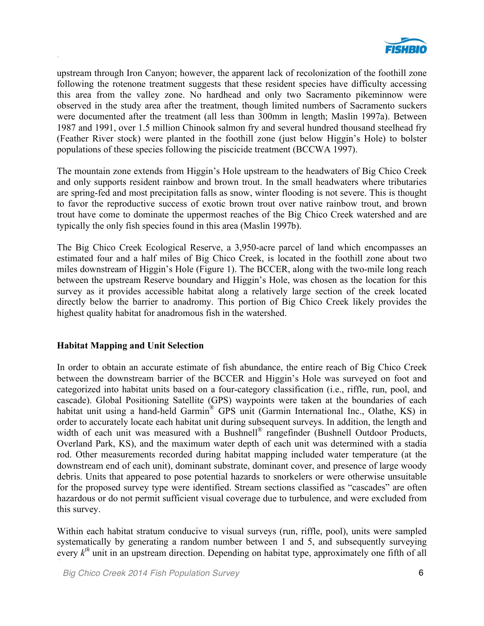

upstream through Iron Canyon; however, the apparent lack of recolonization of the foothill zone following the rotenone treatment suggests that these resident species have difficulty accessing this area from the valley zone. No hardhead and only two Sacramento pikeminnow were observed in the study area after the treatment, though limited numbers of Sacramento suckers were documented after the treatment (all less than 300mm in length; Maslin 1997a). Between 1987 and 1991, over 1.5 million Chinook salmon fry and several hundred thousand steelhead fry (Feather River stock) were planted in the foothill zone (just below Higgin's Hole) to bolster populations of these species following the piscicide treatment (BCCWA 1997).

The mountain zone extends from Higgin's Hole upstream to the headwaters of Big Chico Creek and only supports resident rainbow and brown trout. In the small headwaters where tributaries are spring-fed and most precipitation falls as snow, winter flooding is not severe. This is thought to favor the reproductive success of exotic brown trout over native rainbow trout, and brown trout have come to dominate the uppermost reaches of the Big Chico Creek watershed and are typically the only fish species found in this area (Maslin 1997b).

The Big Chico Creek Ecological Reserve, a 3,950-acre parcel of land which encompasses an estimated four and a half miles of Big Chico Creek, is located in the foothill zone about two miles downstream of Higgin's Hole (Figure 1). The BCCER, along with the two-mile long reach between the upstream Reserve boundary and Higgin's Hole, was chosen as the location for this survey as it provides accessible habitat along a relatively large section of the creek located directly below the barrier to anadromy. This portion of Big Chico Creek likely provides the highest quality habitat for anadromous fish in the watershed.

#### **Habitat Mapping and Unit Selection**

In order to obtain an accurate estimate of fish abundance, the entire reach of Big Chico Creek between the downstream barrier of the BCCER and Higgin's Hole was surveyed on foot and categorized into habitat units based on a four-category classification (i.e., riffle, run, pool, and cascade). Global Positioning Satellite (GPS) waypoints were taken at the boundaries of each habitat unit using a hand-held Garmin<sup>®</sup> GPS unit (Garmin International Inc., Olathe, KS) in order to accurately locate each habitat unit during subsequent surveys. In addition, the length and width of each unit was measured with a Bushnell® rangefinder (Bushnell Outdoor Products, Overland Park, KS), and the maximum water depth of each unit was determined with a stadia rod. Other measurements recorded during habitat mapping included water temperature (at the downstream end of each unit), dominant substrate, dominant cover, and presence of large woody debris. Units that appeared to pose potential hazards to snorkelers or were otherwise unsuitable for the proposed survey type were identified. Stream sections classified as "cascades" are often hazardous or do not permit sufficient visual coverage due to turbulence, and were excluded from this survey.

Within each habitat stratum conducive to visual surveys (run, riffle, pool), units were sampled systematically by generating a random number between 1 and 5, and subsequently surveying every  $k<sup>th</sup>$  unit in an upstream direction. Depending on habitat type, approximately one fifth of all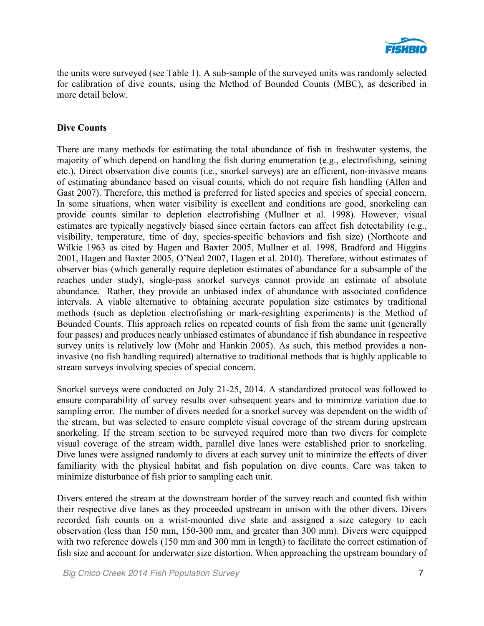

the units were surveyed (see Table 1). A sub-sample of the surveyed units was randomly selected for calibration of dive counts, using the Method of Bounded Counts (MBC), as described in more detail below.

#### **Dive Counts**

There are many methods for estimating the total abundance of fish in freshwater systems, the majority of which depend on handling the fish during enumeration (e.g., electrofishing, seining etc.). Direct observation dive counts (i.e., snorkel surveys) are an efficient, non-invasive means of estimating abundance based on visual counts, which do not require fish handling (Allen and Gast 2007). Therefore, this method is preferred for listed species and species of special concern. In some situations, when water visibility is excellent and conditions are good, snorkeling can provide counts similar to depletion electrofishing (Mullner et al. 1998). However, visual estimates are typically negatively biased since certain factors can affect fish detectability (e.g., visibility, temperature, time of day, species-specific behaviors and fish size) (Northcote and Wilkie 1963 as cited by Hagen and Baxter 2005, Mullner et al. 1998, Bradford and Higgins 2001, Hagen and Baxter 2005, O'Neal 2007, Hagen et al. 2010). Therefore, without estimates of observer bias (which generally require depletion estimates of abundance for a subsample of the reaches under study), single-pass snorkel surveys cannot provide an estimate of absolute abundance. Rather, they provide an unbiased index of abundance with associated confidence intervals. A viable alternative to obtaining accurate population size estimates by traditional methods (such as depletion electrofishing or mark-resighting experiments) is the Method of Bounded Counts. This approach relies on repeated counts of fish from the same unit (generally four passes) and produces nearly unbiased estimates of abundance if fish abundance in respective survey units is relatively low (Mohr and Hankin 2005). As such, this method provides a noninvasive (no fish handling required) alternative to traditional methods that is highly applicable to stream surveys involving species of special concern.

Snorkel surveys were conducted on July 21-25, 2014. A standardized protocol was followed to ensure comparability of survey results over subsequent years and to minimize variation due to sampling error. The number of divers needed for a snorkel survey was dependent on the width of the stream, but was selected to ensure complete visual coverage of the stream during upstream snorkeling. If the stream section to be surveyed required more than two divers for complete visual coverage of the stream width, parallel dive lanes were established prior to snorkeling. Dive lanes were assigned randomly to divers at each survey unit to minimize the effects of diver familiarity with the physical habitat and fish population on dive counts. Care was taken to minimize disturbance of fish prior to sampling each unit.

Divers entered the stream at the downstream border of the survey reach and counted fish within their respective dive lanes as they proceeded upstream in unison with the other divers. Divers recorded fish counts on a wrist-mounted dive slate and assigned a size category to each observation (less than 150 mm, 150-300 mm, and greater than 300 mm). Divers were equipped with two reference dowels (150 mm and 300 mm in length) to facilitate the correct estimation of fish size and account for underwater size distortion. When approaching the upstream boundary of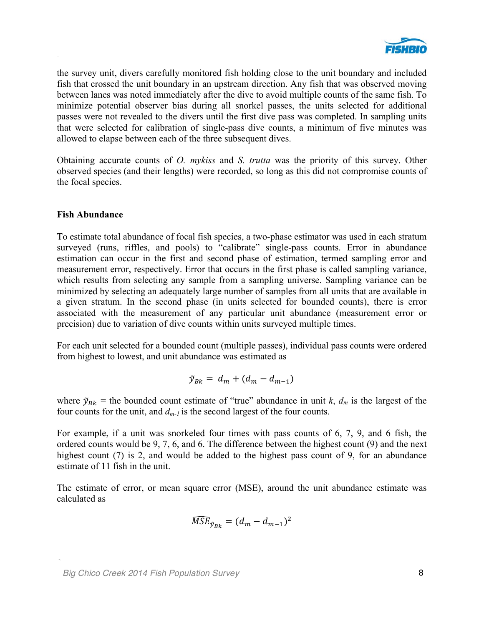

the survey unit, divers carefully monitored fish holding close to the unit boundary and included fish that crossed the unit boundary in an upstream direction. Any fish that was observed moving between lanes was noted immediately after the dive to avoid multiple counts of the same fish. To minimize potential observer bias during all snorkel passes, the units selected for additional passes were not revealed to the divers until the first dive pass was completed. In sampling units that were selected for calibration of single-pass dive counts, a minimum of five minutes was allowed to elapse between each of the three subsequent dives.

Obtaining accurate counts of *O. mykiss* and *S. trutta* was the priority of this survey. Other observed species (and their lengths) were recorded, so long as this did not compromise counts of the focal species.

#### **Fish Abundance**

To estimate total abundance of focal fish species, a two-phase estimator was used in each stratum surveyed (runs, riffles, and pools) to "calibrate" single-pass counts. Error in abundance estimation can occur in the first and second phase of estimation, termed sampling error and measurement error, respectively. Error that occurs in the first phase is called sampling variance, which results from selecting any sample from a sampling universe. Sampling variance can be minimized by selecting an adequately large number of samples from all units that are available in a given stratum. In the second phase (in units selected for bounded counts), there is error associated with the measurement of any particular unit abundance (measurement error or precision) due to variation of dive counts within units surveyed multiple times.

For each unit selected for a bounded count (multiple passes), individual pass counts were ordered from highest to lowest, and unit abundance was estimated as

$$
\tilde{y}_{Bk} = d_m + (d_m - d_{m-1})
$$

where  $\tilde{y}_{Bk}$  = the bounded count estimate of "true" abundance in unit *k*,  $d_m$  is the largest of the four counts for the unit, and *dm-1* is the second largest of the four counts.

For example, if a unit was snorkeled four times with pass counts of 6, 7, 9, and 6 fish, the ordered counts would be 9, 7, 6, and 6. The difference between the highest count (9) and the next highest count (7) is 2, and would be added to the highest pass count of 9, for an abundance estimate of 11 fish in the unit.

The estimate of error, or mean square error (MSE), around the unit abundance estimate was calculated as

$$
\widehat{MSE}_{\tilde{y}_{Bk}} = (d_m - d_{m-1})^2
$$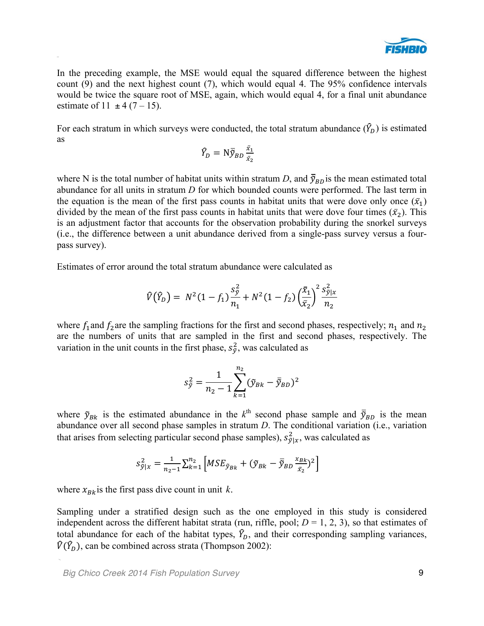

In the preceding example, the MSE would equal the squared difference between the highest count (9) and the next highest count (7), which would equal 4. The 95% confidence intervals would be twice the square root of MSE, again, which would equal 4, for a final unit abundance estimate of 11  $\pm$  4 (7 – 15).

For each stratum in which surveys were conducted, the total stratum abundance  $(\hat{Y}_D)$  is estimated as

$$
\widehat{Y}_D = \mathrm{N} \overline{\widetilde{y}}_{BD} \frac{\bar{x}_1}{\bar{x}_2}
$$

where N is the total number of habitat units within stratum *D*, and  $\bar{y}_{BD}$  is the mean estimated total abundance for all units in stratum *D* for which bounded counts were performed. The last term in the equation is the mean of the first pass counts in habitat units that were dove only once  $(\bar{x}_1)$ divided by the mean of the first pass counts in habitat units that were dove four times  $(\bar{x}_2)$ . This is an adjustment factor that accounts for the observation probability during the snorkel surveys (i.e., the difference between a unit abundance derived from a single-pass survey versus a fourpass survey).

Estimates of error around the total stratum abundance were calculated as

$$
\hat{V}(\hat{Y}_D) = N^2 (1 - f_1) \frac{s_{\hat{y}}^2}{n_1} + N^2 (1 - f_2) \left(\frac{\bar{x}_1}{\bar{x}_2}\right)^2 \frac{s_{\hat{y}|x}^2}{n_2}
$$

where  $f_1$  and  $f_2$  are the sampling fractions for the first and second phases, respectively;  $n_1$  and  $n_2$ are the numbers of units that are sampled in the first and second phases, respectively. The variation in the unit counts in the first phase,  $s_{\tilde{y}}^2$ , was calculated as

$$
s_{\tilde{y}}^2 = \frac{1}{n_2 - 1} \sum_{k=1}^{n_2} (\tilde{y}_{Bk} - \overline{\tilde{y}}_{BD})^2
$$

where  $\tilde{y}_{Bk}$  is the estimated abundance in the  $k^{\text{th}}$  second phase sample and  $\bar{\tilde{y}}_{BD}$  is the mean abundance over all second phase samples in stratum *D*. The conditional variation (i.e., variation that arises from selecting particular second phase samples),  $s_{\tilde{y}|x}^2$ , was calculated as

$$
s^2_{\tilde{y}|x} = \frac{1}{n_2-1}\sum_{k=1}^{n_2} \left[ MSE_{\tilde{y}_{Bk}} + (\tilde{y}_{Bk} - \overline{\tilde{y}}_{BD} \frac{x_{Bk}}{\bar{x}_2})^2 \right]
$$

where  $x_{Bk}$  is the first pass dive count in unit k.

Sampling under a stratified design such as the one employed in this study is considered independent across the different habitat strata (run, riffle, pool;  $D = 1, 2, 3$ ), so that estimates of total abundance for each of the habitat types,  $\hat{Y}_D$ , and their corresponding sampling variances,  $\hat{V}(\hat{Y}_D)$ , can be combined across strata (Thompson 2002):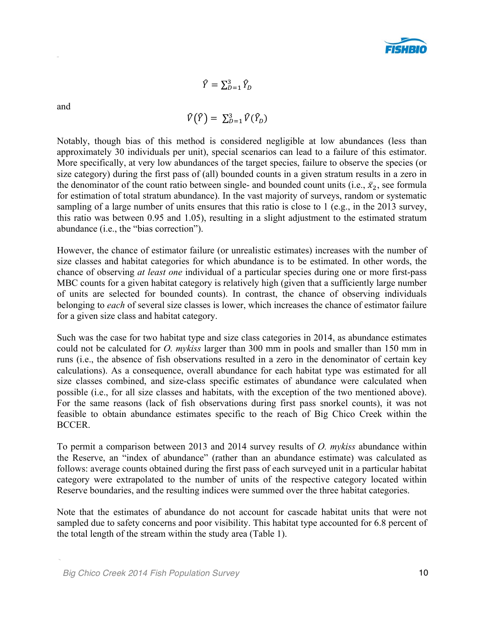

 $\widehat{Y} = \sum_{D=1}^{3} \widehat{Y}_{D}$ 

and

$$
\widehat{V}(\widehat{Y}) = \sum_{D=1}^{3} \widehat{V}(\widehat{Y}_{D})
$$

Notably, though bias of this method is considered negligible at low abundances (less than approximately 30 individuals per unit), special scenarios can lead to a failure of this estimator. More specifically, at very low abundances of the target species, failure to observe the species (or size category) during the first pass of (all) bounded counts in a given stratum results in a zero in the denominator of the count ratio between single- and bounded count units (i.e.,  $\bar{x}_2$ , see formula for estimation of total stratum abundance). In the vast majority of surveys, random or systematic sampling of a large number of units ensures that this ratio is close to 1 (e.g., in the 2013 survey, this ratio was between 0.95 and 1.05), resulting in a slight adjustment to the estimated stratum abundance (i.e., the "bias correction").

However, the chance of estimator failure (or unrealistic estimates) increases with the number of size classes and habitat categories for which abundance is to be estimated. In other words, the chance of observing *at least one* individual of a particular species during one or more first-pass MBC counts for a given habitat category is relatively high (given that a sufficiently large number of units are selected for bounded counts). In contrast, the chance of observing individuals belonging to *each* of several size classes is lower, which increases the chance of estimator failure for a given size class and habitat category.

Such was the case for two habitat type and size class categories in 2014, as abundance estimates could not be calculated for *O. mykiss* larger than 300 mm in pools and smaller than 150 mm in runs (i.e., the absence of fish observations resulted in a zero in the denominator of certain key calculations). As a consequence, overall abundance for each habitat type was estimated for all size classes combined, and size-class specific estimates of abundance were calculated when possible (i.e., for all size classes and habitats, with the exception of the two mentioned above). For the same reasons (lack of fish observations during first pass snorkel counts), it was not feasible to obtain abundance estimates specific to the reach of Big Chico Creek within the BCCER.

To permit a comparison between 2013 and 2014 survey results of *O. mykiss* abundance within the Reserve, an "index of abundance" (rather than an abundance estimate) was calculated as follows: average counts obtained during the first pass of each surveyed unit in a particular habitat category were extrapolated to the number of units of the respective category located within Reserve boundaries, and the resulting indices were summed over the three habitat categories.

Note that the estimates of abundance do not account for cascade habitat units that were not sampled due to safety concerns and poor visibility. This habitat type accounted for 6.8 percent of the total length of the stream within the study area (Table 1).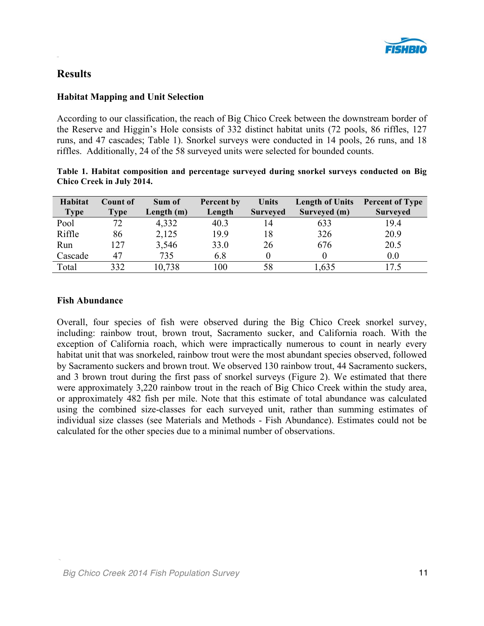

# **Results**

#### **Habitat Mapping and Unit Selection**

According to our classification, the reach of Big Chico Creek between the downstream border of the Reserve and Higgin's Hole consists of 332 distinct habitat units (72 pools, 86 riffles, 127 runs, and 47 cascades; Table 1). Snorkel surveys were conducted in 14 pools, 26 runs, and 18 riffles. Additionally, 24 of the 58 surveyed units were selected for bounded counts.

|  | Table 1. Habitat composition and percentage surveyed during snorkel surveys conducted on Big |  |  |  |  |  |
|--|----------------------------------------------------------------------------------------------|--|--|--|--|--|
|  | Chico Creek in July 2014.                                                                    |  |  |  |  |  |

| Habitat     | Count of    | Sum of     | Percent by | Units           | <b>Length of Units</b> | <b>Percent of Type</b> |
|-------------|-------------|------------|------------|-----------------|------------------------|------------------------|
| <b>Type</b> | <b>Type</b> | Length (m) | Length     | <b>Surveyed</b> | Surveyed (m)           | <b>Surveyed</b>        |
| Pool        | 72          | 4,332      | 40.3       | 14              | 633                    | 19.4                   |
| Riffle      | 86          | 2,125      | 19.9       | 18              | 326                    | 20.9                   |
| Run         | 127         | 3,546      | 33.0       | 26              | 676                    | 20.5                   |
| Cascade     | 47          | 735        | 6.8        |                 |                        | 0.0                    |
| Total       | 332         | 10,738     | 100        | 58              | .635                   |                        |

#### **Fish Abundance**

Overall, four species of fish were observed during the Big Chico Creek snorkel survey, including: rainbow trout, brown trout, Sacramento sucker, and California roach. With the exception of California roach, which were impractically numerous to count in nearly every habitat unit that was snorkeled, rainbow trout were the most abundant species observed, followed by Sacramento suckers and brown trout. We observed 130 rainbow trout, 44 Sacramento suckers, and 3 brown trout during the first pass of snorkel surveys (Figure 2). We estimated that there were approximately 3,220 rainbow trout in the reach of Big Chico Creek within the study area, or approximately 482 fish per mile. Note that this estimate of total abundance was calculated using the combined size-classes for each surveyed unit, rather than summing estimates of individual size classes (see Materials and Methods - Fish Abundance). Estimates could not be calculated for the other species due to a minimal number of observations.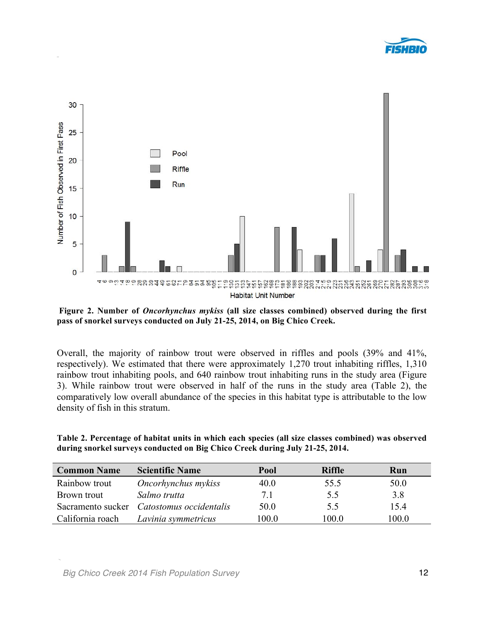



**Figure 2. Number of** *Oncorhynchus mykiss* **(all size classes combined) observed during the first pass of snorkel surveys conducted on July 21-25, 2014, on Big Chico Creek.**

Overall, the majority of rainbow trout were observed in riffles and pools (39% and 41%, respectively). We estimated that there were approximately 1,270 trout inhabiting riffles, 1,310 rainbow trout inhabiting pools, and 640 rainbow trout inhabiting runs in the study area (Figure 3). While rainbow trout were observed in half of the runs in the study area (Table 2), the comparatively low overall abundance of the species in this habitat type is attributable to the low density of fish in this stratum.

**Table 2. Percentage of habitat units in which each species (all size classes combined) was observed during snorkel surveys conducted on Big Chico Creek during July 21-25, 2014.**

| <b>Common Name</b> | <b>Scientific Name</b>  | Pool  | <b>Riffle</b> | Run   |
|--------------------|-------------------------|-------|---------------|-------|
| Rainbow trout      | Oncorhynchus mykiss     | 40.0  | 55.5          | 50.0  |
| Brown trout        | Salmo trutta            | 71    | 55            | 3.8   |
| Sacramento sucker  | Catostomus occidentalis | 50.0  | 55            | 15.4  |
| California roach   | Lavinia symmetricus     | 100.0 | 100.0         | 100.0 |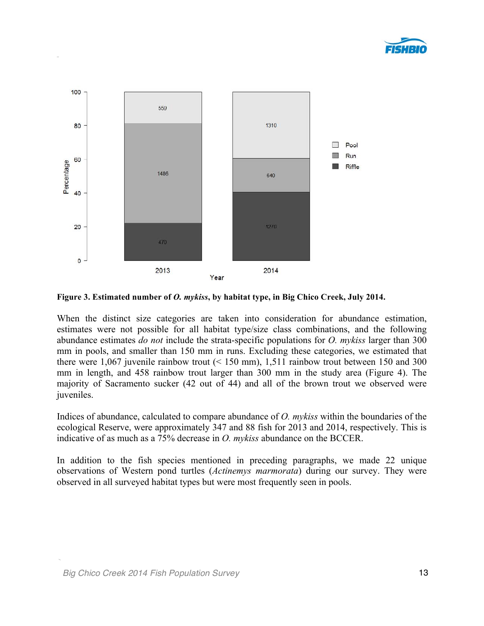



**Figure 3. Estimated number of** *O. mykiss***, by habitat type, in Big Chico Creek, July 2014.**

When the distinct size categories are taken into consideration for abundance estimation, estimates were not possible for all habitat type/size class combinations, and the following abundance estimates *do not* include the strata-specific populations for *O. mykiss* larger than 300 mm in pools, and smaller than 150 mm in runs. Excluding these categories, we estimated that there were  $1,067$  juvenile rainbow trout  $($  < 150 mm), 1,511 rainbow trout between 150 and 300 mm in length, and 458 rainbow trout larger than 300 mm in the study area (Figure 4). The majority of Sacramento sucker (42 out of 44) and all of the brown trout we observed were juveniles.

Indices of abundance, calculated to compare abundance of *O. mykiss* within the boundaries of the ecological Reserve, were approximately 347 and 88 fish for 2013 and 2014, respectively. This is indicative of as much as a 75% decrease in *O. mykiss* abundance on the BCCER.

In addition to the fish species mentioned in preceding paragraphs, we made 22 unique observations of Western pond turtles (*Actinemys marmorata*) during our survey. They were observed in all surveyed habitat types but were most frequently seen in pools.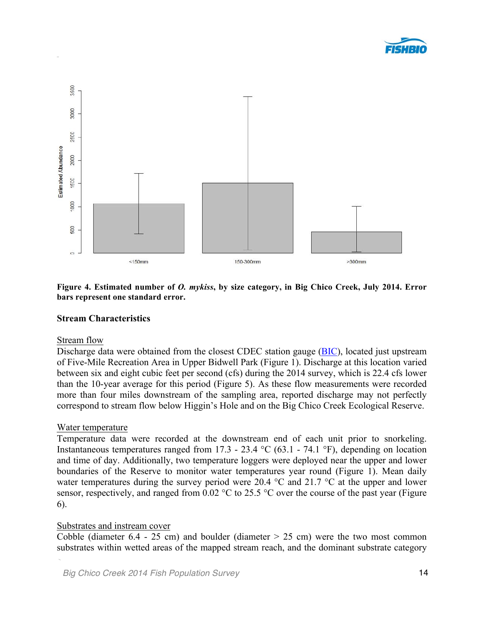



**Figure 4. Estimated number of** *O. mykiss***, by size category, in Big Chico Creek, July 2014. Error bars represent one standard error.**

#### **Stream Characteristics**

#### Stream flow

Discharge data were obtained from the closest CDEC station gauge (BIC), located just upstream of Five-Mile Recreation Area in Upper Bidwell Park (Figure 1). Discharge at this location varied between six and eight cubic feet per second (cfs) during the 2014 survey, which is 22.4 cfs lower than the 10-year average for this period (Figure 5). As these flow measurements were recorded more than four miles downstream of the sampling area, reported discharge may not perfectly correspond to stream flow below Higgin's Hole and on the Big Chico Creek Ecological Reserve.

#### Water temperature

Temperature data were recorded at the downstream end of each unit prior to snorkeling. Instantaneous temperatures ranged from 17.3 - 23.4 °C (63.1 - 74.1 °F), depending on location and time of day. Additionally, two temperature loggers were deployed near the upper and lower boundaries of the Reserve to monitor water temperatures year round (Figure 1). Mean daily water temperatures during the survey period were 20.4 °C and 21.7 °C at the upper and lower sensor, respectively, and ranged from 0.02 °C to 25.5 °C over the course of the past year (Figure 6).

#### Substrates and instream cover

Cobble (diameter  $6.4 - 25$  cm) and boulder (diameter  $> 25$  cm) were the two most common substrates within wetted areas of the mapped stream reach, and the dominant substrate category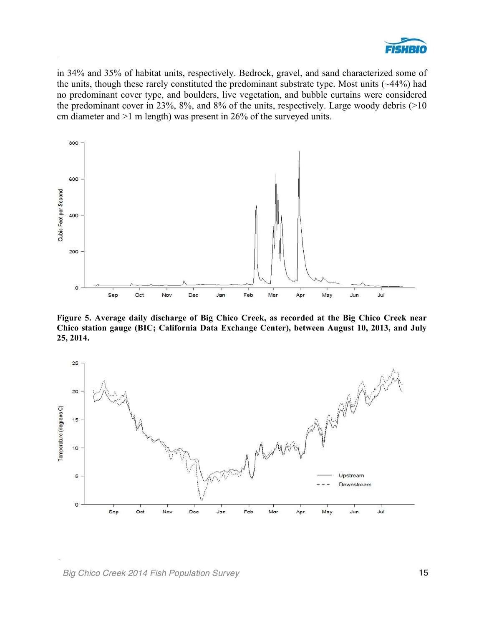

in 34% and 35% of habitat units, respectively. Bedrock, gravel, and sand characterized some of the units, though these rarely constituted the predominant substrate type. Most units (~44%) had no predominant cover type, and boulders, live vegetation, and bubble curtains were considered the predominant cover in 23%,  $8\%$ , and  $8\%$  of the units, respectively. Large woody debris (>10 cm diameter and >1 m length) was present in 26% of the surveyed units.



**Figure 5. Average daily discharge of Big Chico Creek, as recorded at the Big Chico Creek near Chico station gauge (BIC; California Data Exchange Center), between August 10, 2013, and July 25, 2014.**

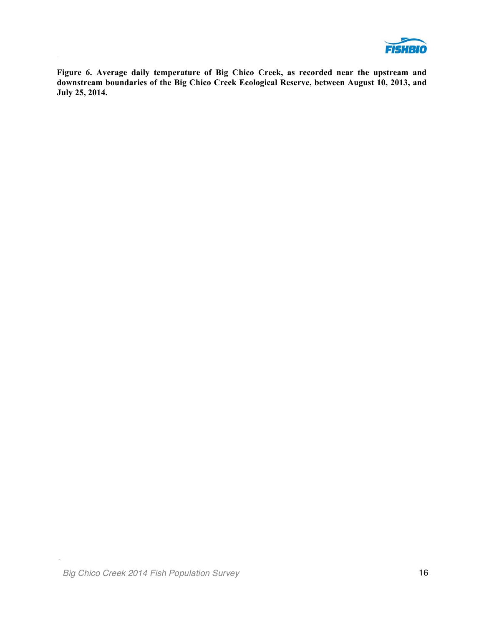

**Figure 6. Average daily temperature of Big Chico Creek, as recorded near the upstream and downstream boundaries of the Big Chico Creek Ecological Reserve, between August 10, 2013, and July 25, 2014.**

 $\overline{\phantom{a}}$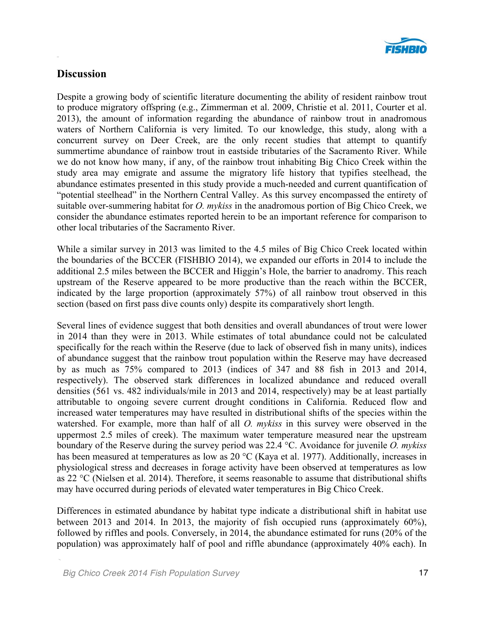

# **Discussion**

Despite a growing body of scientific literature documenting the ability of resident rainbow trout to produce migratory offspring (e.g., Zimmerman et al. 2009, Christie et al. 2011, Courter et al. 2013), the amount of information regarding the abundance of rainbow trout in anadromous waters of Northern California is very limited. To our knowledge, this study, along with a concurrent survey on Deer Creek, are the only recent studies that attempt to quantify summertime abundance of rainbow trout in eastside tributaries of the Sacramento River. While we do not know how many, if any, of the rainbow trout inhabiting Big Chico Creek within the study area may emigrate and assume the migratory life history that typifies steelhead, the abundance estimates presented in this study provide a much-needed and current quantification of "potential steelhead" in the Northern Central Valley. As this survey encompassed the entirety of suitable over-summering habitat for *O. mykiss* in the anadromous portion of Big Chico Creek, we consider the abundance estimates reported herein to be an important reference for comparison to other local tributaries of the Sacramento River.

While a similar survey in 2013 was limited to the 4.5 miles of Big Chico Creek located within the boundaries of the BCCER (FISHBIO 2014), we expanded our efforts in 2014 to include the additional 2.5 miles between the BCCER and Higgin's Hole, the barrier to anadromy. This reach upstream of the Reserve appeared to be more productive than the reach within the BCCER, indicated by the large proportion (approximately 57%) of all rainbow trout observed in this section (based on first pass dive counts only) despite its comparatively short length.

Several lines of evidence suggest that both densities and overall abundances of trout were lower in 2014 than they were in 2013. While estimates of total abundance could not be calculated specifically for the reach within the Reserve (due to lack of observed fish in many units), indices of abundance suggest that the rainbow trout population within the Reserve may have decreased by as much as 75% compared to 2013 (indices of 347 and 88 fish in 2013 and 2014, respectively). The observed stark differences in localized abundance and reduced overall densities (561 vs. 482 individuals/mile in 2013 and 2014, respectively) may be at least partially attributable to ongoing severe current drought conditions in California. Reduced flow and increased water temperatures may have resulted in distributional shifts of the species within the watershed. For example, more than half of all *O. mykiss* in this survey were observed in the uppermost 2.5 miles of creek). The maximum water temperature measured near the upstream boundary of the Reserve during the survey period was 22.4 °C. Avoidance for juvenile *O. mykiss* has been measured at temperatures as low as 20 °C (Kaya et al. 1977). Additionally, increases in physiological stress and decreases in forage activity have been observed at temperatures as low as 22 °C (Nielsen et al. 2014). Therefore, it seems reasonable to assume that distributional shifts may have occurred during periods of elevated water temperatures in Big Chico Creek.

Differences in estimated abundance by habitat type indicate a distributional shift in habitat use between 2013 and 2014. In 2013, the majority of fish occupied runs (approximately 60%), followed by riffles and pools. Conversely, in 2014, the abundance estimated for runs (20% of the population) was approximately half of pool and riffle abundance (approximately 40% each). In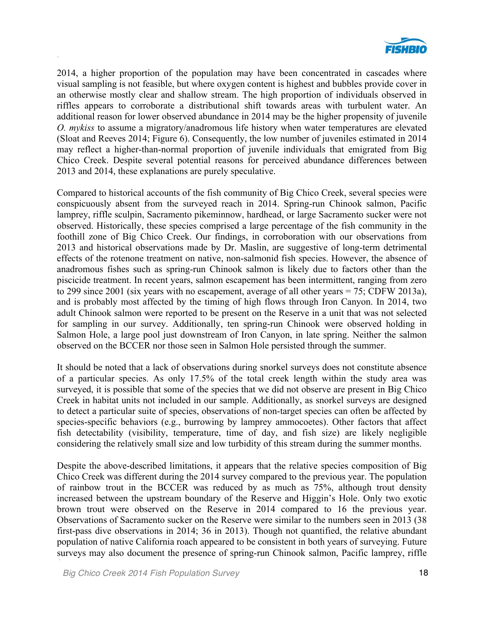

2014, a higher proportion of the population may have been concentrated in cascades where visual sampling is not feasible, but where oxygen content is highest and bubbles provide cover in an otherwise mostly clear and shallow stream. The high proportion of individuals observed in riffles appears to corroborate a distributional shift towards areas with turbulent water. An additional reason for lower observed abundance in 2014 may be the higher propensity of juvenile *O. mykiss* to assume a migratory/anadromous life history when water temperatures are elevated (Sloat and Reeves 2014; Figure 6). Consequently, the low number of juveniles estimated in 2014 may reflect a higher-than-normal proportion of juvenile individuals that emigrated from Big Chico Creek. Despite several potential reasons for perceived abundance differences between 2013 and 2014, these explanations are purely speculative.

Compared to historical accounts of the fish community of Big Chico Creek, several species were conspicuously absent from the surveyed reach in 2014. Spring-run Chinook salmon, Pacific lamprey, riffle sculpin, Sacramento pikeminnow, hardhead, or large Sacramento sucker were not observed. Historically, these species comprised a large percentage of the fish community in the foothill zone of Big Chico Creek. Our findings, in corroboration with our observations from 2013 and historical observations made by Dr. Maslin, are suggestive of long-term detrimental effects of the rotenone treatment on native, non-salmonid fish species. However, the absence of anadromous fishes such as spring-run Chinook salmon is likely due to factors other than the piscicide treatment. In recent years, salmon escapement has been intermittent, ranging from zero to 299 since 2001 (six years with no escapement, average of all other years = 75; CDFW 2013a), and is probably most affected by the timing of high flows through Iron Canyon. In 2014, two adult Chinook salmon were reported to be present on the Reserve in a unit that was not selected for sampling in our survey. Additionally, ten spring-run Chinook were observed holding in Salmon Hole, a large pool just downstream of Iron Canyon, in late spring. Neither the salmon observed on the BCCER nor those seen in Salmon Hole persisted through the summer.

It should be noted that a lack of observations during snorkel surveys does not constitute absence of a particular species. As only 17.5% of the total creek length within the study area was surveyed, it is possible that some of the species that we did not observe are present in Big Chico Creek in habitat units not included in our sample. Additionally, as snorkel surveys are designed to detect a particular suite of species, observations of non-target species can often be affected by species-specific behaviors (e.g., burrowing by lamprey ammocoetes). Other factors that affect fish detectability (visibility, temperature, time of day, and fish size) are likely negligible considering the relatively small size and low turbidity of this stream during the summer months.

Despite the above-described limitations, it appears that the relative species composition of Big Chico Creek was different during the 2014 survey compared to the previous year. The population of rainbow trout in the BCCER was reduced by as much as 75%, although trout density increased between the upstream boundary of the Reserve and Higgin's Hole. Only two exotic brown trout were observed on the Reserve in 2014 compared to 16 the previous year. Observations of Sacramento sucker on the Reserve were similar to the numbers seen in 2013 (38 first-pass dive observations in 2014; 36 in 2013). Though not quantified, the relative abundant population of native California roach appeared to be consistent in both years of surveying. Future surveys may also document the presence of spring-run Chinook salmon, Pacific lamprey, riffle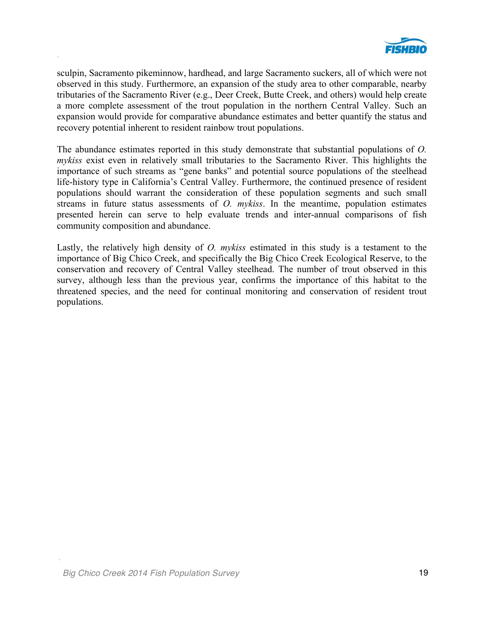

sculpin, Sacramento pikeminnow, hardhead, and large Sacramento suckers, all of which were not observed in this study. Furthermore, an expansion of the study area to other comparable, nearby tributaries of the Sacramento River (e.g., Deer Creek, Butte Creek, and others) would help create a more complete assessment of the trout population in the northern Central Valley. Such an expansion would provide for comparative abundance estimates and better quantify the status and recovery potential inherent to resident rainbow trout populations.

The abundance estimates reported in this study demonstrate that substantial populations of *O. mykiss* exist even in relatively small tributaries to the Sacramento River. This highlights the importance of such streams as "gene banks" and potential source populations of the steelhead life-history type in California's Central Valley. Furthermore, the continued presence of resident populations should warrant the consideration of these population segments and such small streams in future status assessments of *O. mykiss*. In the meantime, population estimates presented herein can serve to help evaluate trends and inter-annual comparisons of fish community composition and abundance.

Lastly, the relatively high density of *O. mykiss* estimated in this study is a testament to the importance of Big Chico Creek, and specifically the Big Chico Creek Ecological Reserve, to the conservation and recovery of Central Valley steelhead. The number of trout observed in this survey, although less than the previous year, confirms the importance of this habitat to the threatened species, and the need for continual monitoring and conservation of resident trout populations.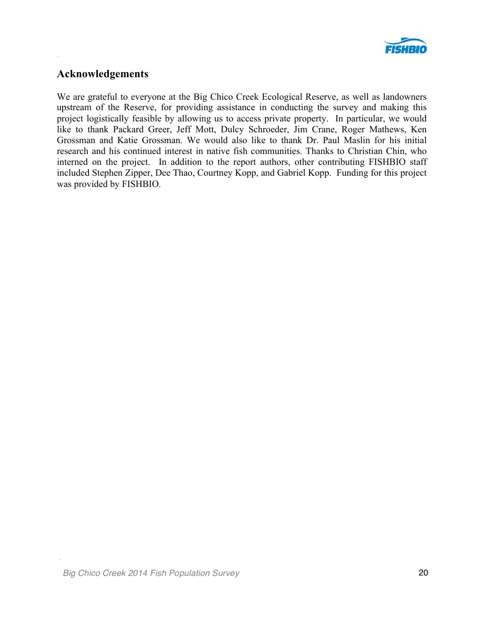

### **Acknowledgements**

We are grateful to everyone at the Big Chico Creek Ecological Reserve, as well as landowners upstream of the Reserve, for providing assistance in conducting the survey and making this project logistically feasible by allowing us to access private property. In particular, we would like to thank Packard Greer, Jeff Mott, Dulcy Schroeder, Jim Crane, Roger Mathews, Ken Grossman and Katie Grossman. We would also like to thank Dr. Paul Maslin for his initial research and his continued interest in native fish communities. Thanks to Christian Chin, who interned on the project. In addition to the report authors, other contributing FISHBIO staff included Stephen Zipper, Dee Thao, Courtney Kopp, and Gabriel Kopp. Funding for this project was provided by FISHBIO.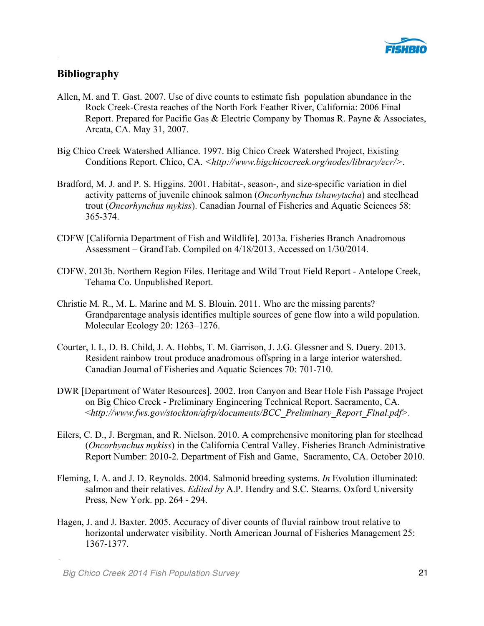

# **Bibliography**

- Allen, M. and T. Gast. 2007. Use of dive counts to estimate fish population abundance in the Rock Creek-Cresta reaches of the North Fork Feather River, California: 2006 Final Report. Prepared for Pacific Gas & Electric Company by Thomas R. Payne & Associates, Arcata, CA. May 31, 2007.
- Big Chico Creek Watershed Alliance. 1997. Big Chico Creek Watershed Project, Existing Conditions Report. Chico, CA. *<http://www.bigchicocreek.org/nodes/library/ecr/>*.
- Bradford, M. J. and P. S. Higgins. 2001. Habitat-, season-, and size-specific variation in diel activity patterns of juvenile chinook salmon (*Oncorhynchus tshawytscha*) and steelhead trout (*Oncorhynchus mykiss*). Canadian Journal of Fisheries and Aquatic Sciences 58: 365-374.
- CDFW [California Department of Fish and Wildlife]. 2013a. Fisheries Branch Anadromous Assessment – GrandTab. Compiled on 4/18/2013. Accessed on 1/30/2014.
- CDFW. 2013b. Northern Region Files. Heritage and Wild Trout Field Report Antelope Creek, Tehama Co. Unpublished Report.
- Christie M. R., M. L. Marine and M. S. Blouin. 2011. Who are the missing parents? Grandparentage analysis identifies multiple sources of gene flow into a wild population. Molecular Ecology 20: 1263–1276.
- Courter, I. I., D. B. Child, J. A. Hobbs, T. M. Garrison, J. J.G. Glessner and S. Duery. 2013. Resident rainbow trout produce anadromous offspring in a large interior watershed. Canadian Journal of Fisheries and Aquatic Sciences 70: 701-710.
- DWR [Department of Water Resources]. 2002. Iron Canyon and Bear Hole Fish Passage Project on Big Chico Creek - Preliminary Engineering Technical Report. Sacramento, CA. <*http://www.fws.gov/stockton/afrp/documents/BCC\_Preliminary\_Report\_Final.pdf>.*
- Eilers, C. D., J. Bergman, and R. Nielson. 2010. A comprehensive monitoring plan for steelhead (*Oncorhynchus mykiss*) in the California Central Valley. Fisheries Branch Administrative Report Number: 2010-2. Department of Fish and Game, Sacramento, CA. October 2010.
- Fleming, I. A. and J. D. Reynolds. 2004. Salmonid breeding systems. *In* Evolution illuminated: salmon and their relatives. *Edited by* A.P. Hendry and S.C. Stearns. Oxford University Press, New York. pp. 264 - 294.
- Hagen, J. and J. Baxter. 2005. Accuracy of diver counts of fluvial rainbow trout relative to horizontal underwater visibility. North American Journal of Fisheries Management 25: 1367-1377.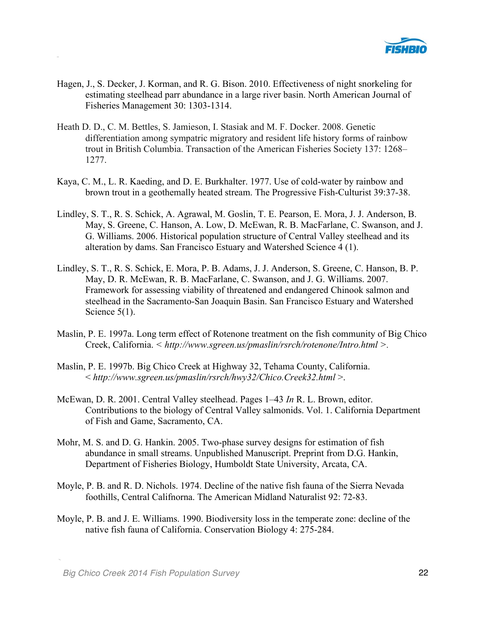

- Hagen, J., S. Decker, J. Korman, and R. G. Bison. 2010. Effectiveness of night snorkeling for estimating steelhead parr abundance in a large river basin. North American Journal of Fisheries Management 30: 1303-1314.
- Heath D. D., C. M. Bettles, S. Jamieson, I. Stasiak and M. F. Docker. 2008. Genetic differentiation among sympatric migratory and resident life history forms of rainbow trout in British Columbia. Transaction of the American Fisheries Society 137: 1268– 1277.
- Kaya, C. M., L. R. Kaeding, and D. E. Burkhalter. 1977. Use of cold-water by rainbow and brown trout in a geothemally heated stream. The Progressive Fish-Culturist 39:37-38.
- Lindley, S. T., R. S. Schick, A. Agrawal, M. Goslin, T. E. Pearson, E. Mora, J. J. Anderson, B. May, S. Greene, C. Hanson, A. Low, D. McEwan, R. B. MacFarlane, C. Swanson, and J. G. Williams. 2006. Historical population structure of Central Valley steelhead and its alteration by dams. San Francisco Estuary and Watershed Science 4 (1).
- Lindley, S. T., R. S. Schick, E. Mora, P. B. Adams, J. J. Anderson, S. Greene, C. Hanson, B. P. May, D. R. McEwan, R. B. MacFarlane, C. Swanson, and J. G. Williams. 2007. Framework for assessing viability of threatened and endangered Chinook salmon and steelhead in the Sacramento-San Joaquin Basin. San Francisco Estuary and Watershed Science 5(1).
- Maslin, P. E. 1997a. Long term effect of Rotenone treatment on the fish community of Big Chico Creek, California. *< http://www.sgreen.us/pmaslin/rsrch/rotenone/Intro.html >.*
- Maslin, P. E. 1997b. Big Chico Creek at Highway 32, Tehama County, California. < *http://www.sgreen.us/pmaslin/rsrch/hwy32/Chico.Creek32.html* >.
- McEwan, D. R. 2001. Central Valley steelhead. Pages 1–43 *In* R. L. Brown, editor. Contributions to the biology of Central Valley salmonids. Vol. 1. California Department of Fish and Game, Sacramento, CA.
- Mohr, M. S. and D. G. Hankin. 2005. Two-phase survey designs for estimation of fish abundance in small streams. Unpublished Manuscript. Preprint from D.G. Hankin, Department of Fisheries Biology, Humboldt State University, Arcata, CA.
- Moyle, P. B. and R. D. Nichols. 1974. Decline of the native fish fauna of the Sierra Nevada foothills, Central Califnorna. The American Midland Naturalist 92: 72-83.
- Moyle, P. B. and J. E. Williams. 1990. Biodiversity loss in the temperate zone: decline of the native fish fauna of California. Conservation Biology 4: 275-284.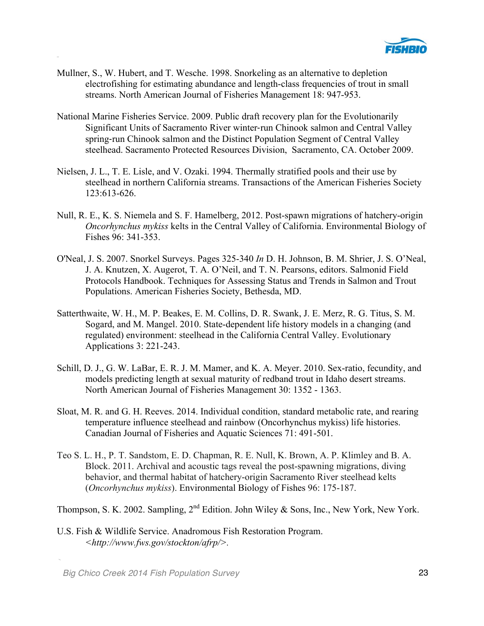

- Mullner, S., W. Hubert, and T. Wesche. 1998. Snorkeling as an alternative to depletion electrofishing for estimating abundance and length-class frequencies of trout in small streams. North American Journal of Fisheries Management 18: 947-953.
- National Marine Fisheries Service. 2009. Public draft recovery plan for the Evolutionarily Significant Units of Sacramento River winter-run Chinook salmon and Central Valley spring-run Chinook salmon and the Distinct Population Segment of Central Valley steelhead. Sacramento Protected Resources Division, Sacramento, CA. October 2009.
- Nielsen, J. L., T. E. Lisle, and V. Ozaki. 1994. Thermally stratified pools and their use by steelhead in northern California streams. Transactions of the American Fisheries Society 123:613-626.
- Null, R. E., K. S. Niemela and S. F. Hamelberg, 2012. Post-spawn migrations of hatchery-origin *Oncorhynchus mykiss* kelts in the Central Valley of California. Environmental Biology of Fishes 96: 341-353.
- O'Neal, J. S. 2007. Snorkel Surveys. Pages 325-340 *In* D. H. Johnson, B. M. Shrier, J. S. O'Neal, J. A. Knutzen, X. Augerot, T. A. O'Neil, and T. N. Pearsons, editors. Salmonid Field Protocols Handbook. Techniques for Assessing Status and Trends in Salmon and Trout Populations. American Fisheries Society, Bethesda, MD.
- Satterthwaite, W. H., M. P. Beakes, E. M. Collins, D. R. Swank, J. E. Merz, R. G. Titus, S. M. Sogard, and M. Mangel. 2010. State-dependent life history models in a changing (and regulated) environment: steelhead in the California Central Valley. Evolutionary Applications 3: 221-243.
- Schill, D. J., G. W. LaBar, E. R. J. M. Mamer, and K. A. Meyer. 2010. Sex-ratio, fecundity, and models predicting length at sexual maturity of redband trout in Idaho desert streams. North American Journal of Fisheries Management 30: 1352 - 1363.
- Sloat, M. R. and G. H. Reeves. 2014. Individual condition, standard metabolic rate, and rearing temperature influence steelhead and rainbow (Oncorhynchus mykiss) life histories. Canadian Journal of Fisheries and Aquatic Sciences 71: 491-501.
- Teo S. L. H., P. T. Sandstom, E. D. Chapman, R. E. Null, K. Brown, A. P. Klimley and B. A. Block. 2011. Archival and acoustic tags reveal the post-spawning migrations, diving behavior, and thermal habitat of hatchery-origin Sacramento River steelhead kelts (*Oncorhynchus mykiss*). Environmental Biology of Fishes 96: 175-187.

Thompson, S. K. 2002. Sampling,  $2^{nd}$  Edition. John Wiley & Sons, Inc., New York, New York.

U.S. Fish & Wildlife Service. Anadromous Fish Restoration Program. *<http://www.fws.gov/stockton/afrp/>.*